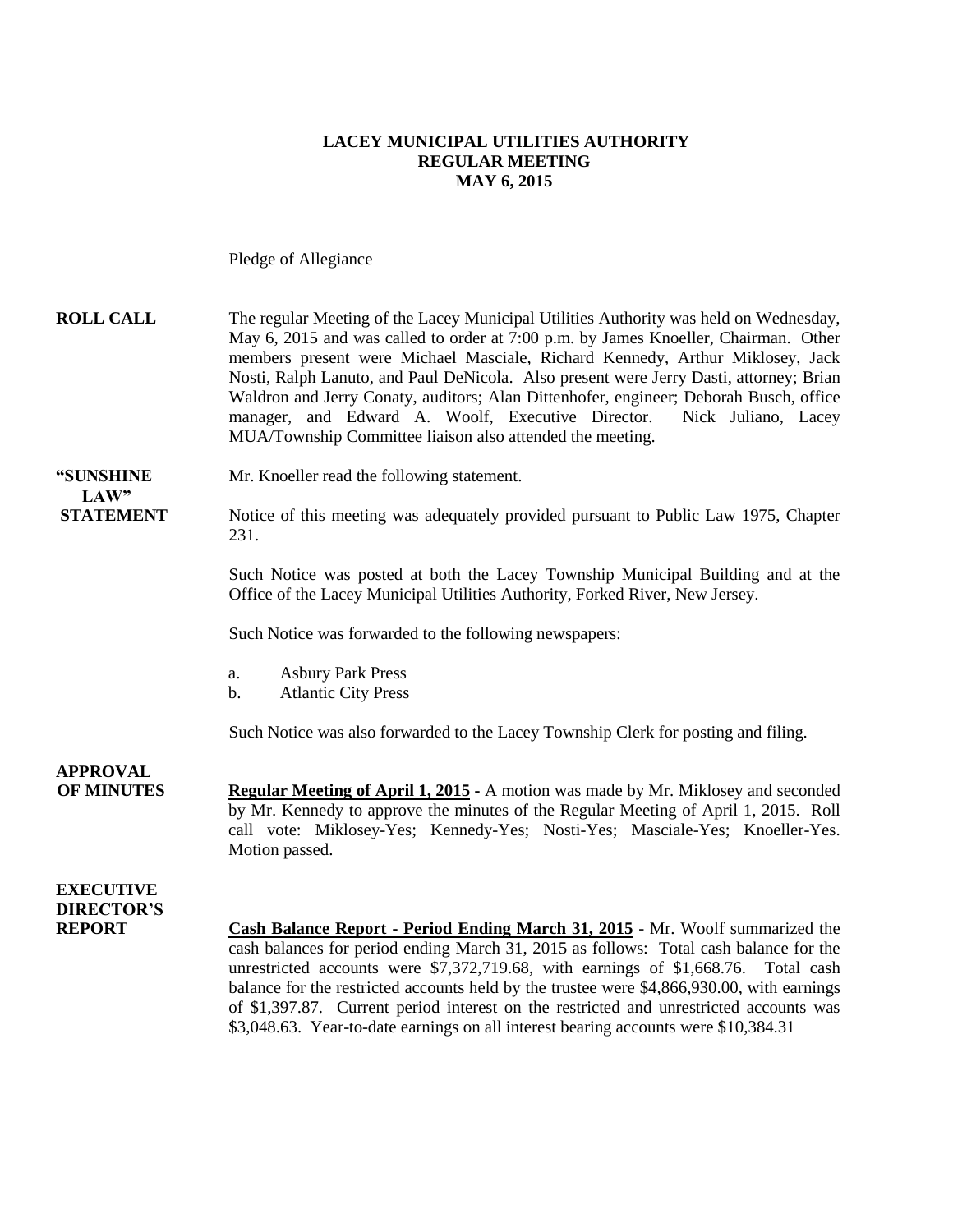#### **LACEY MUNICIPAL UTILITIES AUTHORITY REGULAR MEETING MAY 6, 2015**

Pledge of Allegiance

| <b>ROLL CALL</b>                                       | The regular Meeting of the Lacey Municipal Utilities Authority was held on Wednesday,<br>May 6, 2015 and was called to order at 7:00 p.m. by James Knoeller, Chairman. Other<br>members present were Michael Masciale, Richard Kennedy, Arthur Miklosey, Jack<br>Nosti, Ralph Lanuto, and Paul DeNicola. Also present were Jerry Dasti, attorney; Brian<br>Waldron and Jerry Conaty, auditors; Alan Dittenhofer, engineer; Deborah Busch, office<br>manager, and Edward A. Woolf, Executive Director.<br>Nick Juliano, Lacey<br>MUA/Township Committee liaison also attended the meeting. |
|--------------------------------------------------------|-------------------------------------------------------------------------------------------------------------------------------------------------------------------------------------------------------------------------------------------------------------------------------------------------------------------------------------------------------------------------------------------------------------------------------------------------------------------------------------------------------------------------------------------------------------------------------------------|
| "SUNSHINE<br>LAW"                                      | Mr. Knoeller read the following statement.                                                                                                                                                                                                                                                                                                                                                                                                                                                                                                                                                |
| <b>STATEMENT</b>                                       | Notice of this meeting was adequately provided pursuant to Public Law 1975, Chapter<br>231.                                                                                                                                                                                                                                                                                                                                                                                                                                                                                               |
|                                                        | Such Notice was posted at both the Lacey Township Municipal Building and at the<br>Office of the Lacey Municipal Utilities Authority, Forked River, New Jersey.                                                                                                                                                                                                                                                                                                                                                                                                                           |
|                                                        | Such Notice was forwarded to the following newspapers:                                                                                                                                                                                                                                                                                                                                                                                                                                                                                                                                    |
|                                                        | <b>Asbury Park Press</b><br>a.<br><b>Atlantic City Press</b><br>$\mathbf b$ .                                                                                                                                                                                                                                                                                                                                                                                                                                                                                                             |
|                                                        | Such Notice was also forwarded to the Lacey Township Clerk for posting and filing.                                                                                                                                                                                                                                                                                                                                                                                                                                                                                                        |
| <b>APPROVAL</b><br><b>OF MINUTES</b>                   | <b>Regular Meeting of April 1, 2015 - A motion was made by Mr. Miklosey and seconded</b><br>by Mr. Kennedy to approve the minutes of the Regular Meeting of April 1, 2015. Roll<br>call vote: Miklosey-Yes; Kennedy-Yes; Nosti-Yes; Masciale-Yes; Knoeller-Yes.<br>Motion passed.                                                                                                                                                                                                                                                                                                         |
| <b>EXECUTIVE</b><br><b>DIRECTOR'S</b><br><b>REPORT</b> | Cash Balance Report - Period Ending March 31, 2015 - Mr. Woolf summarized the<br>cash balances for period ending March 31, 2015 as follows: Total cash balance for the<br>unrestricted accounts were \$7,372,719.68, with earnings of \$1,668.76. Total cash<br>balance for the restricted accounts held by the trustee were \$4,866,930.00, with earnings<br>of \$1,397.87. Current period interest on the restricted and unrestricted accounts was<br>\$3,048.63. Year-to-date earnings on all interest bearing accounts were \$10,384.31                                               |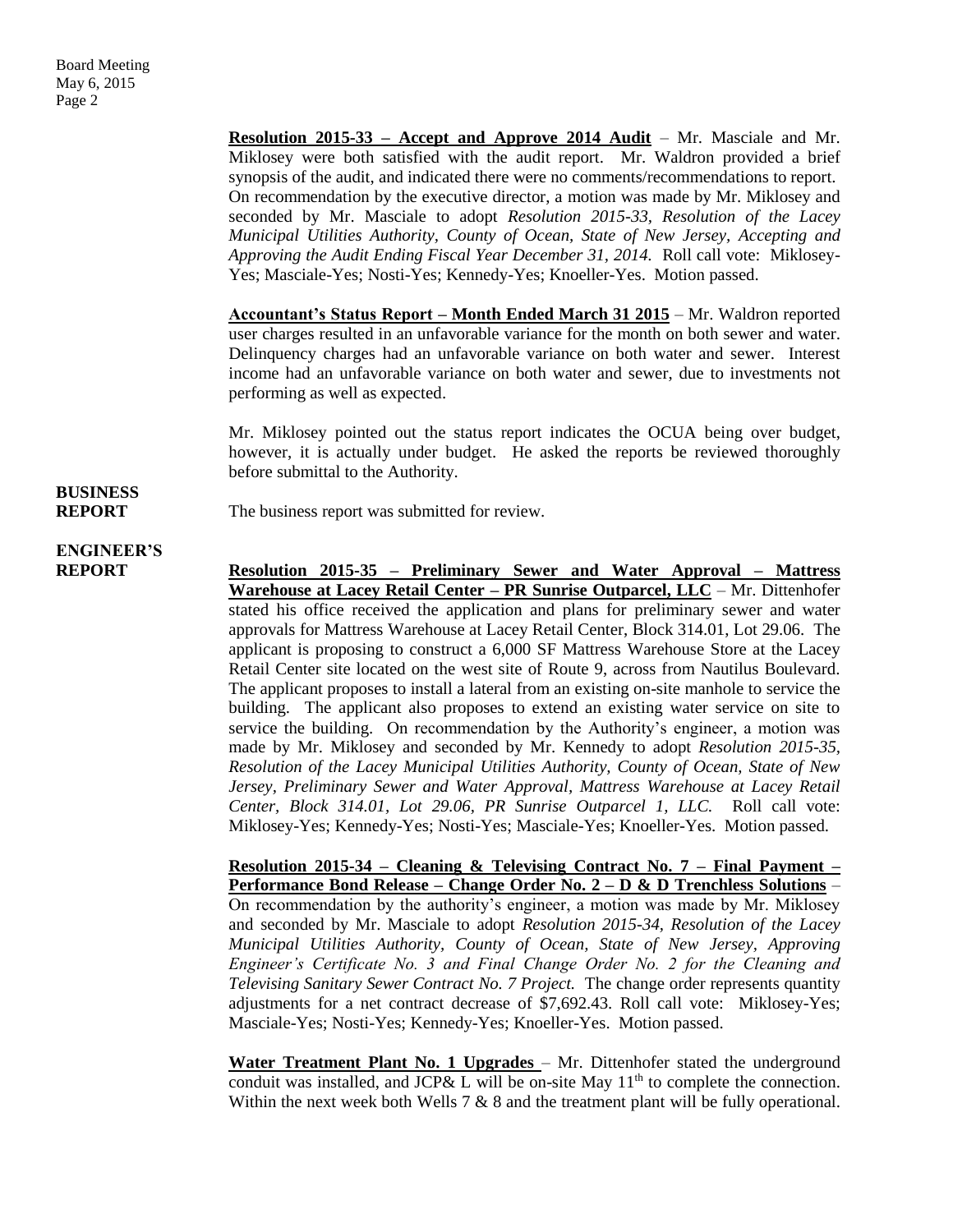**Resolution 2015-33 – Accept and Approve 2014 Audit** – Mr. Masciale and Mr. Miklosey were both satisfied with the audit report. Mr. Waldron provided a brief synopsis of the audit, and indicated there were no comments/recommendations to report. On recommendation by the executive director, a motion was made by Mr. Miklosey and seconded by Mr. Masciale to adopt *Resolution 2015-33, Resolution of the Lacey Municipal Utilities Authority, County of Ocean, State of New Jersey, Accepting and Approving the Audit Ending Fiscal Year December 31, 2014.* Roll call vote: Miklosey-Yes; Masciale-Yes; Nosti-Yes; Kennedy-Yes; Knoeller-Yes. Motion passed.

**Accountant's Status Report – Month Ended March 31 2015** – Mr. Waldron reported user charges resulted in an unfavorable variance for the month on both sewer and water. Delinquency charges had an unfavorable variance on both water and sewer. Interest income had an unfavorable variance on both water and sewer, due to investments not performing as well as expected.

Mr. Miklosey pointed out the status report indicates the OCUA being over budget, however, it is actually under budget. He asked the reports be reviewed thoroughly before submittal to the Authority.

**REPORT** The business report was submitted for review.

# **ENGINEER'S**

**BUSINESS**

**REPORT Resolution 2015-35 – Preliminary Sewer and Water Approval – Mattress Warehouse at Lacey Retail Center – PR Sunrise Outparcel, LLC** – Mr. Dittenhofer stated his office received the application and plans for preliminary sewer and water approvals for Mattress Warehouse at Lacey Retail Center, Block 314.01, Lot 29.06. The applicant is proposing to construct a 6,000 SF Mattress Warehouse Store at the Lacey Retail Center site located on the west site of Route 9, across from Nautilus Boulevard. The applicant proposes to install a lateral from an existing on-site manhole to service the building. The applicant also proposes to extend an existing water service on site to service the building. On recommendation by the Authority's engineer, a motion was made by Mr. Miklosey and seconded by Mr. Kennedy to adopt *Resolution 2015-35, Resolution of the Lacey Municipal Utilities Authority, County of Ocean, State of New Jersey, Preliminary Sewer and Water Approval, Mattress Warehouse at Lacey Retail Center, Block 314.01, Lot 29.06, PR Sunrise Outparcel 1, LLC.* Roll call vote: Miklosey-Yes; Kennedy-Yes; Nosti-Yes; Masciale-Yes; Knoeller-Yes. Motion passed.

> **Resolution 2015-34 – Cleaning & Televising Contract No. 7 – Final Payment – Performance Bond Release – Change Order No. 2 – D & D Trenchless Solutions** – On recommendation by the authority's engineer, a motion was made by Mr. Miklosey and seconded by Mr. Masciale to adopt *Resolution 2015-34, Resolution of the Lacey Municipal Utilities Authority, County of Ocean, State of New Jersey, Approving Engineer's Certificate No. 3 and Final Change Order No. 2 for the Cleaning and Televising Sanitary Sewer Contract No. 7 Project.* The change order represents quantity adjustments for a net contract decrease of \$7,692.43. Roll call vote: Miklosey-Yes; Masciale-Yes; Nosti-Yes; Kennedy-Yes; Knoeller-Yes. Motion passed.

> **Water Treatment Plant No. 1 Upgrades** – Mr. Dittenhofer stated the underground conduit was installed, and JCP& L will be on-site May  $11<sup>th</sup>$  to complete the connection. Within the next week both Wells  $7 \& 8$  and the treatment plant will be fully operational.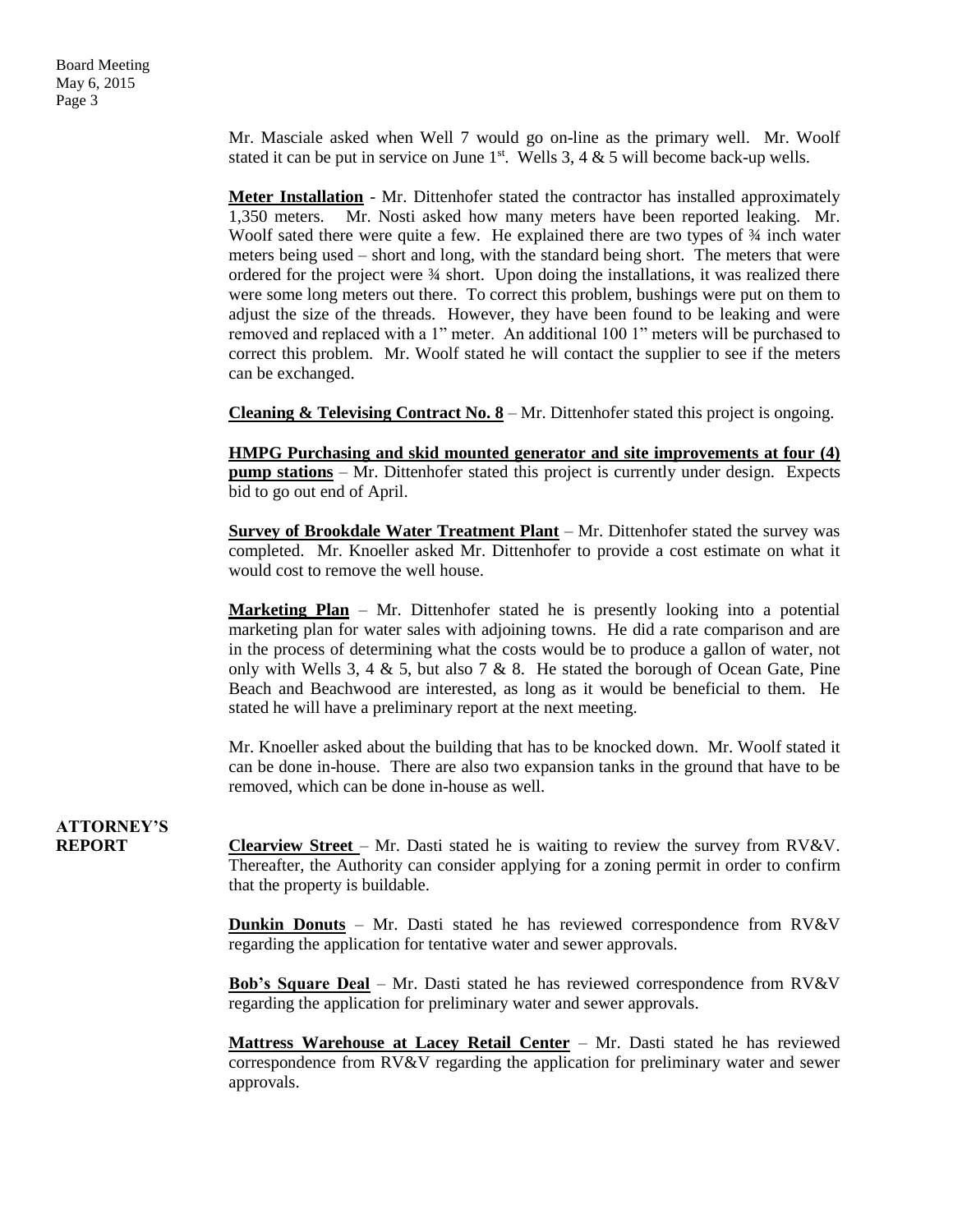Mr. Masciale asked when Well 7 would go on-line as the primary well. Mr. Woolf stated it can be put in service on June  $1<sup>st</sup>$ . Wells 3, 4 & 5 will become back-up wells.

**Meter Installation** - Mr. Dittenhofer stated the contractor has installed approximately 1,350 meters. Mr. Nosti asked how many meters have been reported leaking. Mr. Woolf sated there were quite a few. He explained there are two types of  $\frac{3}{4}$  inch water meters being used – short and long, with the standard being short. The meters that were ordered for the project were ¾ short. Upon doing the installations, it was realized there were some long meters out there. To correct this problem, bushings were put on them to adjust the size of the threads. However, they have been found to be leaking and were removed and replaced with a 1" meter. An additional 100 1" meters will be purchased to correct this problem. Mr. Woolf stated he will contact the supplier to see if the meters can be exchanged.

**Cleaning & Televising Contract No. 8** – Mr. Dittenhofer stated this project is ongoing.

**HMPG Purchasing and skid mounted generator and site improvements at four (4) pump stations** – Mr. Dittenhofer stated this project is currently under design. Expects bid to go out end of April.

**Survey of Brookdale Water Treatment Plant** – Mr. Dittenhofer stated the survey was completed. Mr. Knoeller asked Mr. Dittenhofer to provide a cost estimate on what it would cost to remove the well house.

**Marketing Plan** – Mr. Dittenhofer stated he is presently looking into a potential marketing plan for water sales with adjoining towns. He did a rate comparison and are in the process of determining what the costs would be to produce a gallon of water, not only with Wells 3, 4 & 5, but also 7 & 8. He stated the borough of Ocean Gate, Pine Beach and Beachwood are interested, as long as it would be beneficial to them. He stated he will have a preliminary report at the next meeting.

Mr. Knoeller asked about the building that has to be knocked down. Mr. Woolf stated it can be done in-house. There are also two expansion tanks in the ground that have to be removed, which can be done in-house as well.

## **ATTORNEY'S**

**REPORT Clearview Street** – Mr. Dasti stated he is waiting to review the survey from RV&V. Thereafter, the Authority can consider applying for a zoning permit in order to confirm that the property is buildable.

> **Dunkin Donuts** – Mr. Dasti stated he has reviewed correspondence from RV&V regarding the application for tentative water and sewer approvals.

> **Bob's Square Deal** – Mr. Dasti stated he has reviewed correspondence from RV&V regarding the application for preliminary water and sewer approvals.

> **Mattress Warehouse at Lacey Retail Center** – Mr. Dasti stated he has reviewed correspondence from RV&V regarding the application for preliminary water and sewer approvals.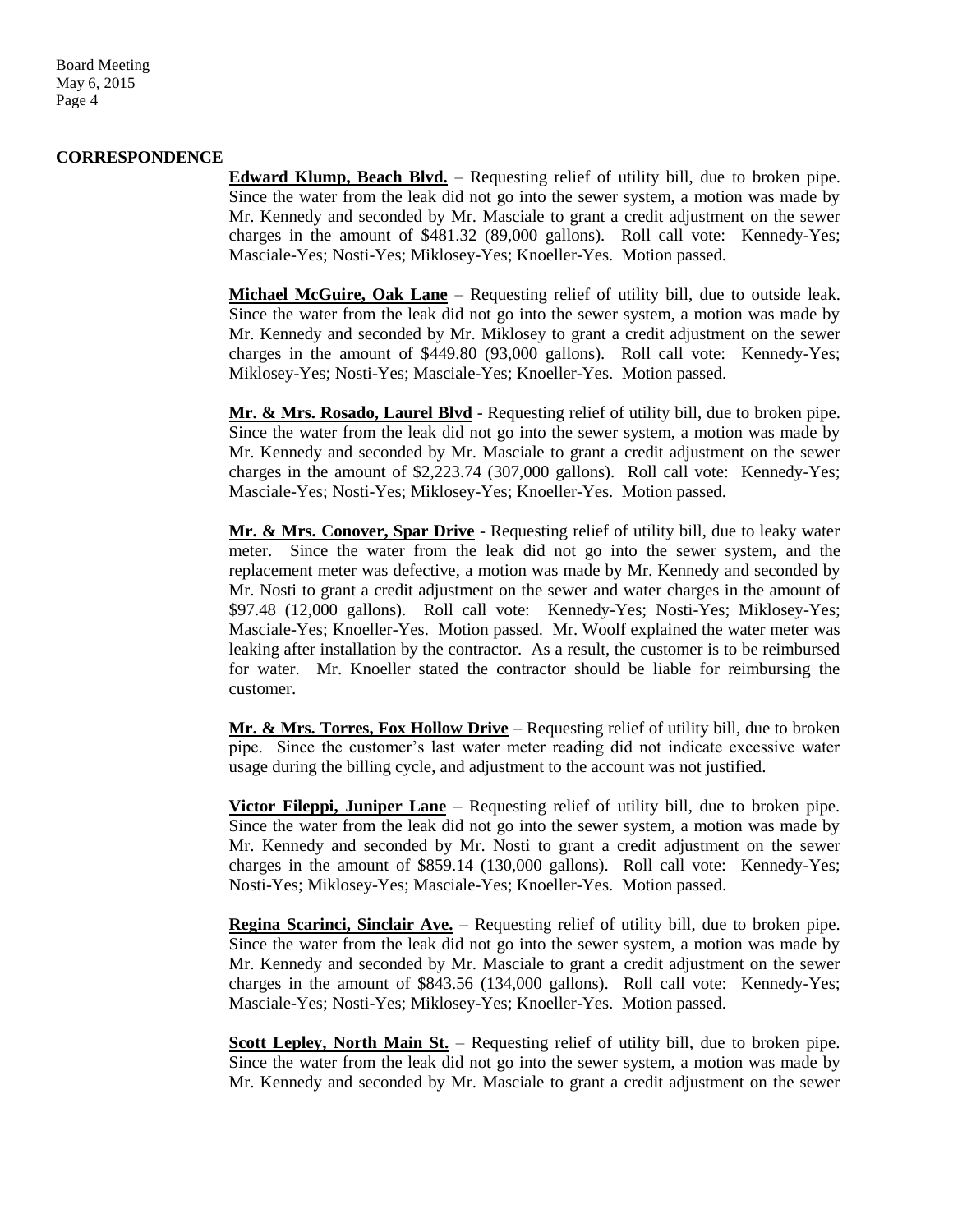Board Meeting May 6, 2015 Page 4

#### **CORRESPONDENCE**

**Edward Klump, Beach Blvd.** – Requesting relief of utility bill, due to broken pipe. Since the water from the leak did not go into the sewer system, a motion was made by Mr. Kennedy and seconded by Mr. Masciale to grant a credit adjustment on the sewer charges in the amount of \$481.32 (89,000 gallons). Roll call vote: Kennedy-Yes; Masciale-Yes; Nosti-Yes; Miklosey-Yes; Knoeller-Yes. Motion passed.

**Michael McGuire, Oak Lane** – Requesting relief of utility bill, due to outside leak. Since the water from the leak did not go into the sewer system, a motion was made by Mr. Kennedy and seconded by Mr. Miklosey to grant a credit adjustment on the sewer charges in the amount of \$449.80 (93,000 gallons). Roll call vote: Kennedy-Yes; Miklosey-Yes; Nosti-Yes; Masciale-Yes; Knoeller-Yes. Motion passed.

**Mr. & Mrs. Rosado, Laurel Blvd** - Requesting relief of utility bill, due to broken pipe. Since the water from the leak did not go into the sewer system, a motion was made by Mr. Kennedy and seconded by Mr. Masciale to grant a credit adjustment on the sewer charges in the amount of \$2,223.74 (307,000 gallons). Roll call vote: Kennedy-Yes; Masciale-Yes; Nosti-Yes; Miklosey-Yes; Knoeller-Yes. Motion passed.

**Mr. & Mrs. Conover, Spar Drive** - Requesting relief of utility bill, due to leaky water meter. Since the water from the leak did not go into the sewer system, and the replacement meter was defective, a motion was made by Mr. Kennedy and seconded by Mr. Nosti to grant a credit adjustment on the sewer and water charges in the amount of \$97.48 (12,000 gallons). Roll call vote: Kennedy-Yes; Nosti-Yes; Miklosey-Yes; Masciale-Yes; Knoeller-Yes. Motion passed. Mr. Woolf explained the water meter was leaking after installation by the contractor. As a result, the customer is to be reimbursed for water. Mr. Knoeller stated the contractor should be liable for reimbursing the customer.

**Mr. & Mrs. Torres, Fox Hollow Drive** – Requesting relief of utility bill, due to broken pipe. Since the customer's last water meter reading did not indicate excessive water usage during the billing cycle, and adjustment to the account was not justified.

**Victor Fileppi, Juniper Lane** – Requesting relief of utility bill, due to broken pipe. Since the water from the leak did not go into the sewer system, a motion was made by Mr. Kennedy and seconded by Mr. Nosti to grant a credit adjustment on the sewer charges in the amount of \$859.14 (130,000 gallons). Roll call vote: Kennedy-Yes; Nosti-Yes; Miklosey-Yes; Masciale-Yes; Knoeller-Yes. Motion passed.

**Regina Scarinci, Sinclair Ave.** – Requesting relief of utility bill, due to broken pipe. Since the water from the leak did not go into the sewer system, a motion was made by Mr. Kennedy and seconded by Mr. Masciale to grant a credit adjustment on the sewer charges in the amount of \$843.56 (134,000 gallons). Roll call vote: Kennedy-Yes; Masciale-Yes; Nosti-Yes; Miklosey-Yes; Knoeller-Yes. Motion passed.

**Scott Lepley, North Main St.** – Requesting relief of utility bill, due to broken pipe. Since the water from the leak did not go into the sewer system, a motion was made by Mr. Kennedy and seconded by Mr. Masciale to grant a credit adjustment on the sewer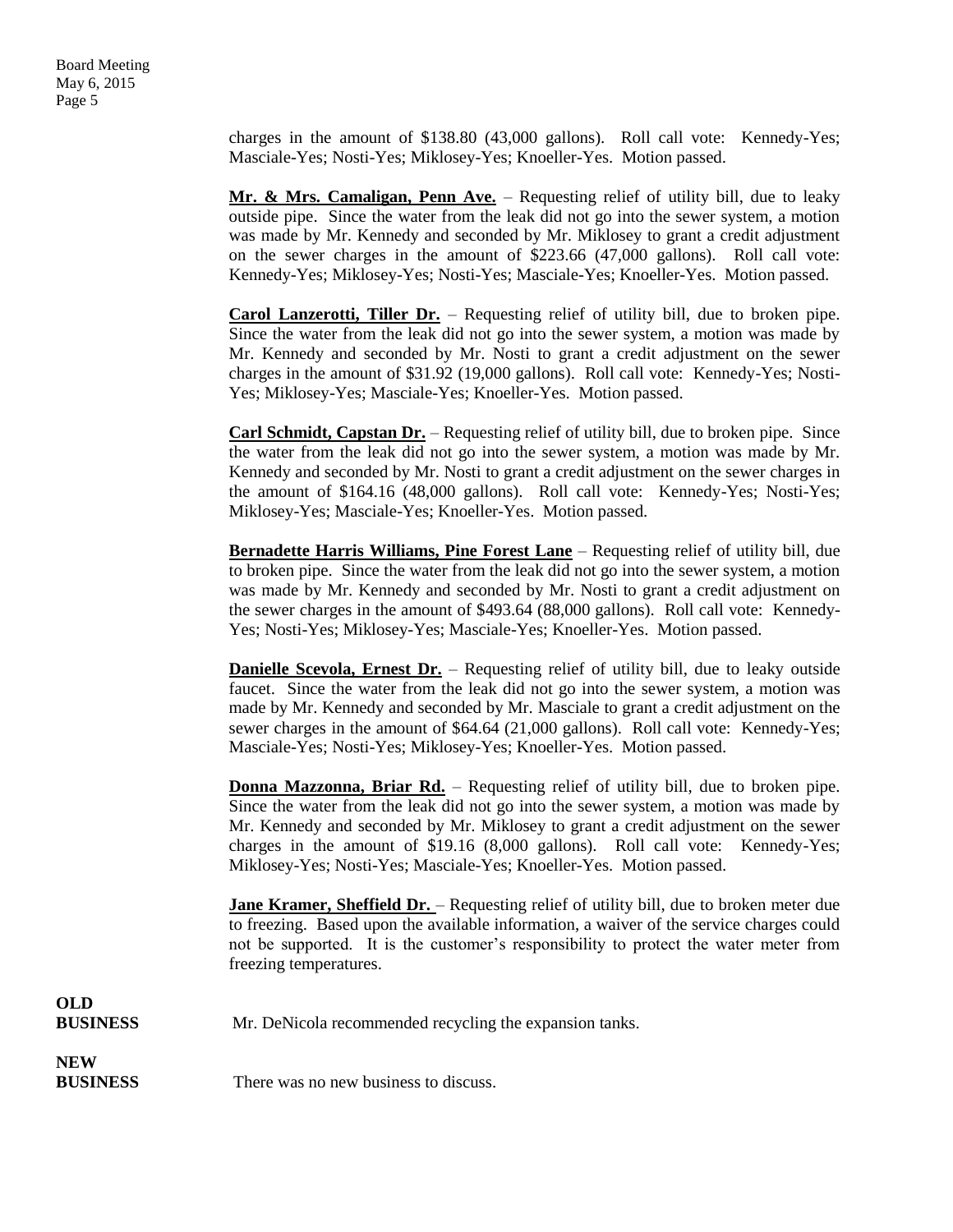charges in the amount of \$138.80 (43,000 gallons). Roll call vote: Kennedy-Yes; Masciale-Yes; Nosti-Yes; Miklosey-Yes; Knoeller-Yes. Motion passed.

**Mr. & Mrs. Camaligan, Penn Ave.** – Requesting relief of utility bill, due to leaky outside pipe. Since the water from the leak did not go into the sewer system, a motion was made by Mr. Kennedy and seconded by Mr. Miklosey to grant a credit adjustment on the sewer charges in the amount of \$223.66 (47,000 gallons). Roll call vote: Kennedy-Yes; Miklosey-Yes; Nosti-Yes; Masciale-Yes; Knoeller-Yes. Motion passed.

**Carol Lanzerotti, Tiller Dr.** – Requesting relief of utility bill, due to broken pipe. Since the water from the leak did not go into the sewer system, a motion was made by Mr. Kennedy and seconded by Mr. Nosti to grant a credit adjustment on the sewer charges in the amount of \$31.92 (19,000 gallons). Roll call vote: Kennedy-Yes; Nosti-Yes; Miklosey-Yes; Masciale-Yes; Knoeller-Yes. Motion passed.

**Carl Schmidt, Capstan Dr.** – Requesting relief of utility bill, due to broken pipe. Since the water from the leak did not go into the sewer system, a motion was made by Mr. Kennedy and seconded by Mr. Nosti to grant a credit adjustment on the sewer charges in the amount of \$164.16 (48,000 gallons). Roll call vote: Kennedy-Yes; Nosti-Yes; Miklosey-Yes; Masciale-Yes; Knoeller-Yes. Motion passed.

**Bernadette Harris Williams, Pine Forest Lane** – Requesting relief of utility bill, due to broken pipe. Since the water from the leak did not go into the sewer system, a motion was made by Mr. Kennedy and seconded by Mr. Nosti to grant a credit adjustment on the sewer charges in the amount of \$493.64 (88,000 gallons). Roll call vote: Kennedy-Yes; Nosti-Yes; Miklosey-Yes; Masciale-Yes; Knoeller-Yes. Motion passed.

**Danielle Scevola, Ernest Dr.** – Requesting relief of utility bill, due to leaky outside faucet. Since the water from the leak did not go into the sewer system, a motion was made by Mr. Kennedy and seconded by Mr. Masciale to grant a credit adjustment on the sewer charges in the amount of \$64.64 (21,000 gallons). Roll call vote: Kennedy-Yes; Masciale-Yes; Nosti-Yes; Miklosey-Yes; Knoeller-Yes. Motion passed.

**Donna Mazzonna, Briar Rd.** – Requesting relief of utility bill, due to broken pipe. Since the water from the leak did not go into the sewer system, a motion was made by Mr. Kennedy and seconded by Mr. Miklosey to grant a credit adjustment on the sewer charges in the amount of \$19.16 (8,000 gallons). Roll call vote: Kennedy-Yes; Miklosey-Yes; Nosti-Yes; Masciale-Yes; Knoeller-Yes. Motion passed.

**Jane Kramer, Sheffield Dr.** – Requesting relief of utility bill, due to broken meter due to freezing. Based upon the available information, a waiver of the service charges could not be supported. It is the customer's responsibility to protect the water meter from freezing temperatures.

| OLD<br><b>BUSINESS</b> | Mr. DeNicola recommended recycling the expansion tanks. |
|------------------------|---------------------------------------------------------|
| NEW                    |                                                         |

**BUSINESS** There was no new business to discuss.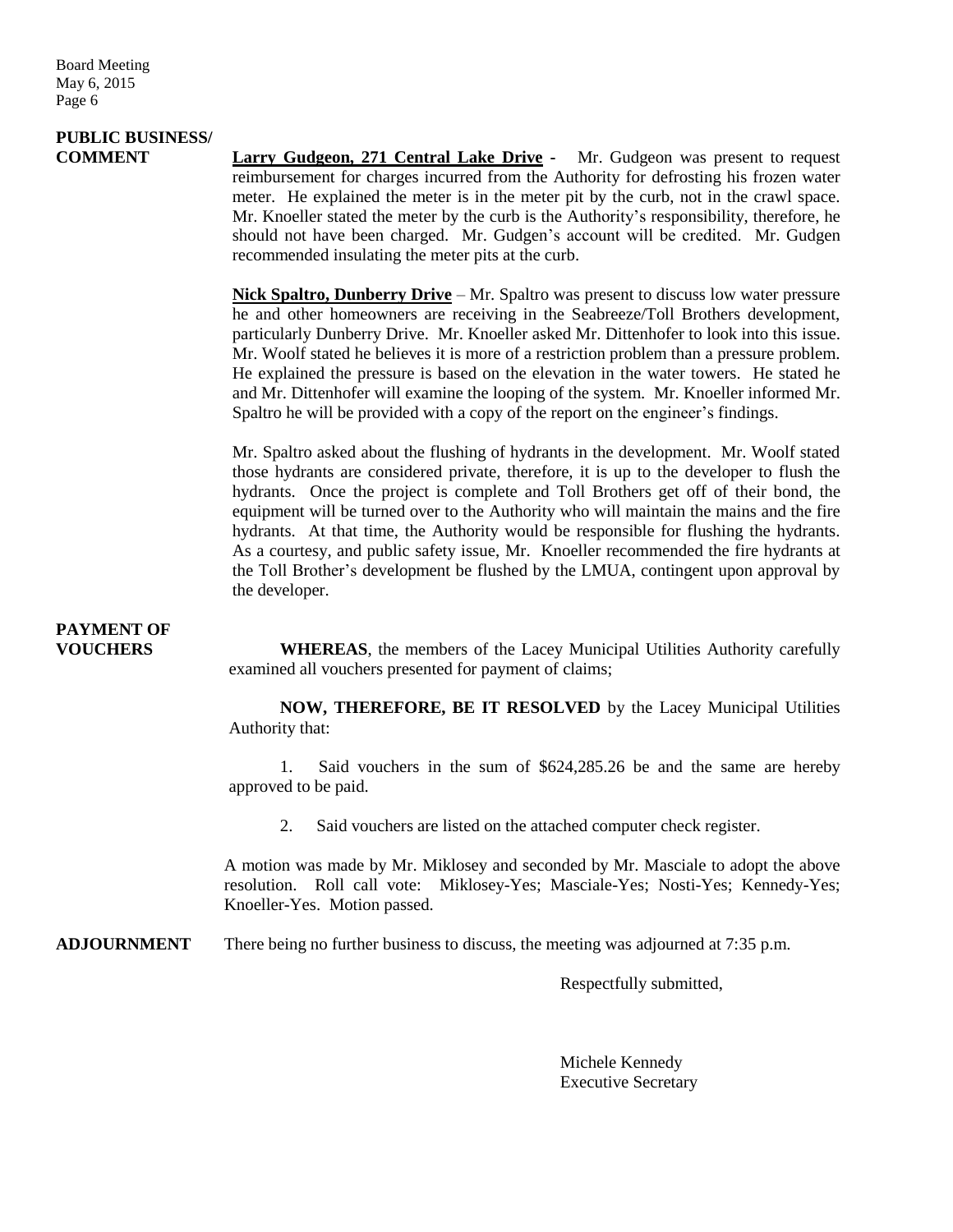## **PUBLIC BUSINESS/**

**COMMENT Larry Gudgeon, 271 Central Lake Drive -** Mr. Gudgeon was present to request reimbursement for charges incurred from the Authority for defrosting his frozen water meter. He explained the meter is in the meter pit by the curb, not in the crawl space. Mr. Knoeller stated the meter by the curb is the Authority's responsibility, therefore, he should not have been charged. Mr. Gudgen's account will be credited. Mr. Gudgen recommended insulating the meter pits at the curb.

> **Nick Spaltro, Dunberry Drive** – Mr. Spaltro was present to discuss low water pressure he and other homeowners are receiving in the Seabreeze/Toll Brothers development, particularly Dunberry Drive. Mr. Knoeller asked Mr. Dittenhofer to look into this issue. Mr. Woolf stated he believes it is more of a restriction problem than a pressure problem. He explained the pressure is based on the elevation in the water towers. He stated he and Mr. Dittenhofer will examine the looping of the system. Mr. Knoeller informed Mr. Spaltro he will be provided with a copy of the report on the engineer's findings.

> Mr. Spaltro asked about the flushing of hydrants in the development. Mr. Woolf stated those hydrants are considered private, therefore, it is up to the developer to flush the hydrants. Once the project is complete and Toll Brothers get off of their bond, the equipment will be turned over to the Authority who will maintain the mains and the fire hydrants. At that time, the Authority would be responsible for flushing the hydrants. As a courtesy, and public safety issue, Mr. Knoeller recommended the fire hydrants at the Toll Brother's development be flushed by the LMUA, contingent upon approval by the developer.

### **PAYMENT OF**

**VOUCHERS WHEREAS**, the members of the Lacey Municipal Utilities Authority carefully examined all vouchers presented for payment of claims;

> **NOW, THEREFORE, BE IT RESOLVED** by the Lacey Municipal Utilities Authority that:

> 1. Said vouchers in the sum of \$624,285.26 be and the same are hereby approved to be paid.

2. Said vouchers are listed on the attached computer check register.

A motion was made by Mr. Miklosey and seconded by Mr. Masciale to adopt the above resolution. Roll call vote: Miklosey-Yes; Masciale-Yes; Nosti-Yes; Kennedy-Yes; Knoeller-Yes. Motion passed.

**ADJOURNMENT** There being no further business to discuss, the meeting was adjourned at 7:35 p.m.

Respectfully submitted,

Michele Kennedy Executive Secretary